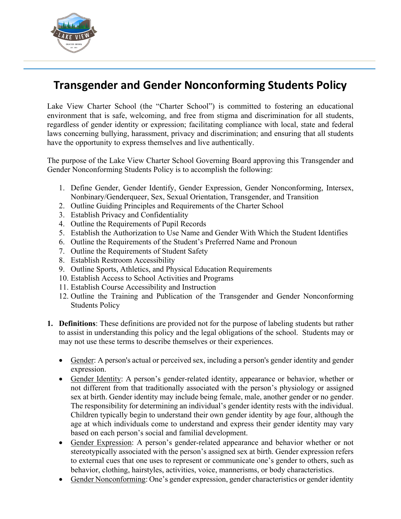

## **Transgender and Gender Nonconforming Students Policy**

Lake View Charter School (the "Charter School") is committed to fostering an educational environment that is safe, welcoming, and free from stigma and discrimination for all students, regardless of gender identity or expression; facilitating compliance with local, state and federal laws concerning bullying, harassment, privacy and discrimination; and ensuring that all students have the opportunity to express themselves and live authentically.

The purpose of the Lake View Charter School Governing Board approving this Transgender and Gender Nonconforming Students Policy is to accomplish the following:

- 1. Define Gender, Gender Identify, Gender Expression, Gender Nonconforming, Intersex, Nonbinary/Genderqueer, Sex, Sexual Orientation, Transgender, and Transition
- 2. Outline Guiding Principles and Requirements of the Charter School
- 3. Establish Privacy and Confidentiality
- 4. Outline the Requirements of Pupil Records
- 5. Establish the Authorization to Use Name and Gender With Which the Student Identifies
- 6. Outline the Requirements of the Student's Preferred Name and Pronoun
- 7. Outline the Requirements of Student Safety
- 8. Establish Restroom Accessibility
- 9. Outline Sports, Athletics, and Physical Education Requirements
- 10. Establish Access to School Activities and Programs
- 11. Establish Course Accessibility and Instruction
- 12. Outline the Training and Publication of the Transgender and Gender Nonconforming Students Policy
- **1. Definitions**: These definitions are provided not for the purpose of labeling students but rather to assist in understanding this policy and the legal obligations of the school. Students may or may not use these terms to describe themselves or their experiences.
	- Gender: A person's actual or perceived sex, including a person's gender identity and gender expression.
	- Gender Identity: A person's gender-related identity, appearance or behavior, whether or not different from that traditionally associated with the person's physiology or assigned sex at birth. Gender identity may include being female, male, another gender or no gender. The responsibility for determining an individual's gender identity rests with the individual. Children typically begin to understand their own gender identity by age four, although the age at which individuals come to understand and express their gender identity may vary based on each person's social and familial development.
	- Gender Expression: A person's gender-related appearance and behavior whether or not stereotypically associated with the person's assigned sex at birth. Gender expression refers to external cues that one uses to represent or communicate one's gender to others, such as behavior, clothing, hairstyles, activities, voice, mannerisms, or body characteristics.
	- Gender Nonconforming: One's gender expression, gender characteristics or gender identity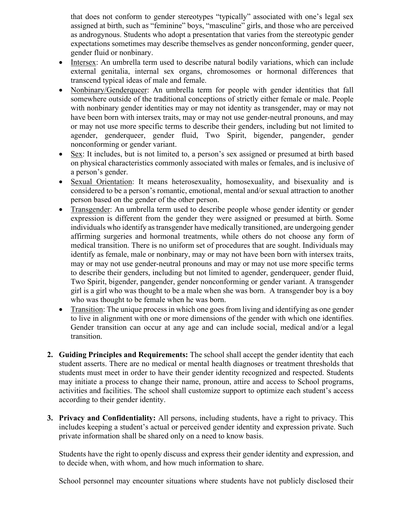that does not conform to gender stereotypes "typically" associated with one's legal sex assigned at birth, such as "feminine" boys, "masculine" girls, and those who are perceived as androgynous. Students who adopt a presentation that varies from the stereotypic gender expectations sometimes may describe themselves as gender nonconforming, gender queer, gender fluid or nonbinary.

- Intersex: An umbrella term used to describe natural bodily variations, which can include external genitalia, internal sex organs, chromosomes or hormonal differences that transcend typical ideas of male and female.
- Nonbinary/Genderqueer: An umbrella term for people with gender identities that fall somewhere outside of the traditional conceptions of strictly either female or male. People with nonbinary gender identities may or may not identity as transgender, may or may not have been born with intersex traits, may or may not use gender-neutral pronouns, and may or may not use more specific terms to describe their genders, including but not limited to agender, genderqueer, gender fluid, Two Spirit, bigender, pangender, gender nonconforming or gender variant.
- Sex: It includes, but is not limited to, a person's sex assigned or presumed at birth based on physical characteristics commonly associated with males or females, and is inclusive of a person's gender.
- Sexual Orientation: It means heterosexuality, homosexuality, and bisexuality and is considered to be a person's romantic, emotional, mental and/or sexual attraction to another person based on the gender of the other person.
- Transgender: An umbrella term used to describe people whose gender identity or gender expression is different from the gender they were assigned or presumed at birth. Some individuals who identify as transgender have medically transitioned, are undergoing gender affirming surgeries and hormonal treatments, while others do not choose any form of medical transition. There is no uniform set of procedures that are sought. Individuals may identify as female, male or nonbinary, may or may not have been born with intersex traits, may or may not use gender-neutral pronouns and may or may not use more specific terms to describe their genders, including but not limited to agender, genderqueer, gender fluid, Two Spirit, bigender, pangender, gender nonconforming or gender variant. A transgender girl is a girl who was thought to be a male when she was born. A transgender boy is a boy who was thought to be female when he was born.
- Transition: The unique process in which one goes from living and identifying as one gender to live in alignment with one or more dimensions of the gender with which one identifies. Gender transition can occur at any age and can include social, medical and/or a legal transition.
- **2. Guiding Principles and Requirements:** The school shall accept the gender identity that each student asserts. There are no medical or mental health diagnoses or treatment thresholds that students must meet in order to have their gender identity recognized and respected. Students may initiate a process to change their name, pronoun, attire and access to School programs, activities and facilities. The school shall customize support to optimize each student's access according to their gender identity.
- **3. Privacy and Confidentiality:** All persons, including students, have a right to privacy. This includes keeping a student's actual or perceived gender identity and expression private. Such private information shall be shared only on a need to know basis.

Students have the right to openly discuss and express their gender identity and expression, and to decide when, with whom, and how much information to share.

School personnel may encounter situations where students have not publicly disclosed their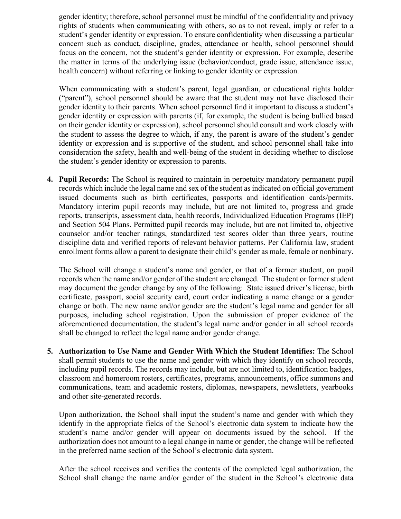gender identity; therefore, school personnel must be mindful of the confidentiality and privacy rights of students when communicating with others, so as to not reveal, imply or refer to a student's gender identity or expression. To ensure confidentiality when discussing a particular concern such as conduct, discipline, grades, attendance or health, school personnel should focus on the concern, not the student's gender identity or expression. For example, describe the matter in terms of the underlying issue (behavior/conduct, grade issue, attendance issue, health concern) without referring or linking to gender identity or expression.

When communicating with a student's parent, legal guardian, or educational rights holder ("parent"), school personnel should be aware that the student may not have disclosed their gender identity to their parents. When school personnel find it important to discuss a student's gender identity or expression with parents (if, for example, the student is being bullied based on their gender identity or expression), school personnel should consult and work closely with the student to assess the degree to which, if any, the parent is aware of the student's gender identity or expression and is supportive of the student, and school personnel shall take into consideration the safety, health and well-being of the student in deciding whether to disclose the student's gender identity or expression to parents.

**4. Pupil Records:** The School is required to maintain in perpetuity mandatory permanent pupil records which include the legal name and sex of the student as indicated on official government issued documents such as birth certificates, passports and identification cards/permits. Mandatory interim pupil records may include, but are not limited to, progress and grade reports, transcripts, assessment data, health records, Individualized Education Programs (IEP) and Section 504 Plans. Permitted pupil records may include, but are not limited to, objective counselor and/or teacher ratings, standardized test scores older than three years, routine discipline data and verified reports of relevant behavior patterns. Per California law, student enrollment forms allow a parent to designate their child's gender as male, female or nonbinary.

The School will change a student's name and gender, or that of a former student, on pupil records when the name and/or gender of the student are changed. The student or former student may document the gender change by any of the following: State issued driver's license, birth certificate, passport, social security card, court order indicating a name change or a gender change or both. The new name and/or gender are the student's legal name and gender for all purposes, including school registration. Upon the submission of proper evidence of the aforementioned documentation, the student's legal name and/or gender in all school records shall be changed to reflect the legal name and/or gender change.

**5. Authorization to Use Name and Gender With Which the Student Identifies:** The School shall permit students to use the name and gender with which they identify on school records, including pupil records. The records may include, but are not limited to, identification badges, classroom and homeroom rosters, certificates, programs, announcements, office summons and communications, team and academic rosters, diplomas, newspapers, newsletters, yearbooks and other site-generated records.

Upon authorization, the School shall input the student's name and gender with which they identify in the appropriate fields of the School's electronic data system to indicate how the student's name and/or gender will appear on documents issued by the school. If the authorization does not amount to a legal change in name or gender, the change will be reflected in the preferred name section of the School's electronic data system.

After the school receives and verifies the contents of the completed legal authorization, the School shall change the name and/or gender of the student in the School's electronic data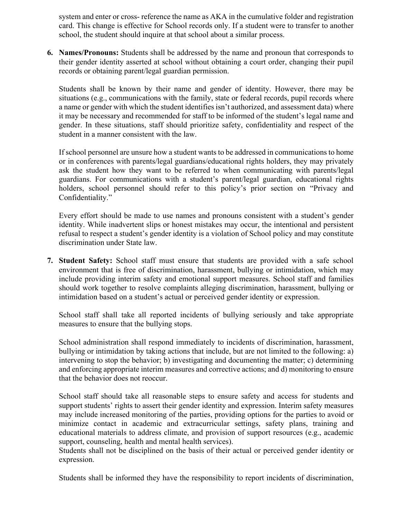system and enter or cross- reference the name as AKA in the cumulative folder and registration card. This change is effective for School records only. If a student were to transfer to another school, the student should inquire at that school about a similar process.

**6. Names/Pronouns:** Students shall be addressed by the name and pronoun that corresponds to their gender identity asserted at school without obtaining a court order, changing their pupil records or obtaining parent/legal guardian permission.

Students shall be known by their name and gender of identity. However, there may be situations (e.g., communications with the family, state or federal records, pupil records where a name or gender with which the student identifies isn't authorized, and assessment data) where it may be necessary and recommended for staff to be informed of the student's legal name and gender. In these situations, staff should prioritize safety, confidentiality and respect of the student in a manner consistent with the law.

If school personnel are unsure how a student wants to be addressed in communications to home or in conferences with parents/legal guardians/educational rights holders, they may privately ask the student how they want to be referred to when communicating with parents/legal guardians. For communications with a student's parent/legal guardian, educational rights holders, school personnel should refer to this policy's prior section on "Privacy and Confidentiality."

Every effort should be made to use names and pronouns consistent with a student's gender identity. While inadvertent slips or honest mistakes may occur, the intentional and persistent refusal to respect a student's gender identity is a violation of School policy and may constitute discrimination under State law.

**7. Student Safety:** School staff must ensure that students are provided with a safe school environment that is free of discrimination, harassment, bullying or intimidation, which may include providing interim safety and emotional support measures. School staff and families should work together to resolve complaints alleging discrimination, harassment, bullying or intimidation based on a student's actual or perceived gender identity or expression.

School staff shall take all reported incidents of bullying seriously and take appropriate measures to ensure that the bullying stops.

School administration shall respond immediately to incidents of discrimination, harassment, bullying or intimidation by taking actions that include, but are not limited to the following: a) intervening to stop the behavior; b) investigating and documenting the matter; c) determining and enforcing appropriate interim measures and corrective actions; and d) monitoring to ensure that the behavior does not reoccur.

School staff should take all reasonable steps to ensure safety and access for students and support students' rights to assert their gender identity and expression. Interim safety measures may include increased monitoring of the parties, providing options for the parties to avoid or minimize contact in academic and extracurricular settings, safety plans, training and educational materials to address climate, and provision of support resources (e.g., academic support, counseling, health and mental health services).

Students shall not be disciplined on the basis of their actual or perceived gender identity or expression.

Students shall be informed they have the responsibility to report incidents of discrimination,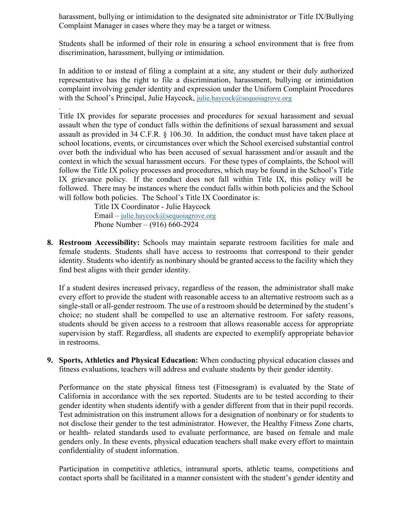harassment, bullying or intimidation to the designated site administrator or Title IX/Bullying Complaint Manager in cases where they may be a target or witness.

Students shall be informed of their role in ensuring a school environment that is free from discrimination, harassment, bullying or intimidation.

In addition to or instead of filing a complaint at a site, any student or their duly authorized representative has the right to file a discrimination, harassment, bullying or intimidation complaint involving gender identity and expression under the Uniform Complaint Procedures with the School's Principal, Julie Haycock, [julie.haycock@sequoiagrove.org](mailto:julie.haycock@sequoiagrove.org)

. Title IX provides for separate processes and procedures for sexual harassment and sexual assault when the type of conduct falls within the definitions of sexual harassment and sexual assault as provided in 34 C.F.R. § 106.30. In addition, the conduct must have taken place at school locations, events, or circumstances over which the School exercised substantial control over both the individual who has been accused of sexual harassment and/or assault and the context in which the sexual harassment occurs. For these types of complaints, the School will follow the Title IX policy processes and procedures, which may be found in the School's Title IX grievance policy. If the conduct does not fall within Title IX, this policy will be followed. There may be instances where the conduct falls within both policies and the School will follow both policies. The School's Title IX Coordinator is:

> Title IX Coordinator - Julie Haycock Email – [julie.haycock@sequoiagrove.org](mailto:julie.haycock@sequoiagrove.org) Phone Number – (916) 660-2924

**8. Restroom Accessibility:** Schools may maintain separate restroom facilities for male and female students. Students shall have access to restrooms that correspond to their gender identity. Students who identify as nonbinary should be granted access to the facility which they find best aligns with their gender identity.

If a student desires increased privacy, regardless of the reason, the administrator shall make every effort to provide the student with reasonable access to an alternative restroom such as a single-stall or all-gender restroom. The use of a restroom should be determined by the student's choice; no student shall be compelled to use an alternative restroom. For safety reasons, students should be given access to a restroom that allows reasonable access for appropriate supervision by staff. Regardless, all students are expected to exemplify appropriate behavior in restrooms.

**9. Sports, Athletics and Physical Education:** When conducting physical education classes and fitness evaluations, teachers will address and evaluate students by their gender identity.

Performance on the state physical fitness test (Fitnessgram) is evaluated by the State of California in accordance with the sex reported. Students are to be tested according to their gender identity when students identify with a gender different from that in their pupil records. Test administration on this instrument allows for a designation of nonbinary or for students to not disclose their gender to the test administrator. However, the Healthy Fitness Zone charts, or health- related standards used to evaluate performance, are based on female and male genders only. In these events, physical education teachers shall make every effort to maintain confidentiality of student information.

Participation in competitive athletics, intramural sports, athletic teams, competitions and contact sports shall be facilitated in a manner consistent with the student's gender identity and